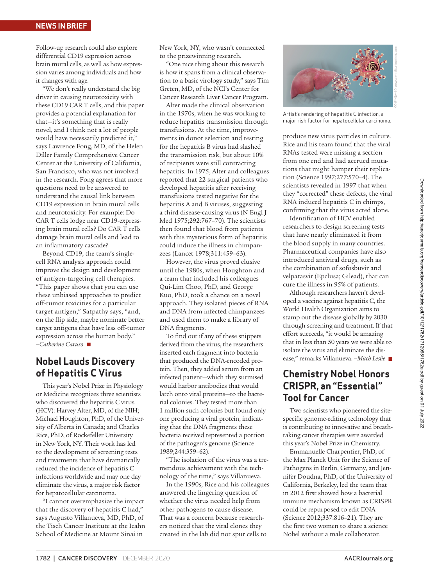## **NEWS IN BRIEF**

Follow-up research could also explore differential CD19 expression across brain mural cells, as well as how expression varies among individuals and how it changes with age.

"We don't really understand the big driver in causing neurotoxicity with these CD19 CAR T cells, and this paper provides a potential explanation for that—it's something that is really novel, and I think not a lot of people would have necessarily predicted it," says Lawrence Fong, MD, of the Helen Diller Family Comprehensive Cancer Center at the University of California, San Francisco, who was not involved in the research. Fong agrees that more questions need to be answered to understand the causal link between CD19 expression in brain mural cells and neurotoxicity. For example: Do CAR T cells lodge near CD19-expressing brain mural cells? Do CAR T cells damage brain mural cells and lead to an inflammatory cascade?

Beyond CD19, the team's singlecell RNA analysis approach could improve the design and development of antigen-targeting cell therapies. "This paper shows that you can use these unbiased approaches to predict off-tumor toxicities for a particular target antigen," Satpathy says, "and, on the flip side, maybe nominate better target antigens that have less off-tumor expression across the human body." *–Catherine Caruso* n

## **Nobel Lauds Discovery of Hepatitis C Virus**

This year's Nobel Prize in Physiology or Medicine recognizes three scientists who discovered the hepatitis C virus (HCV): Harvey Alter, MD, of the NIH; Michael Houghton, PhD, of the University of Alberta in Canada; and Charles Rice, PhD, of Rockefeller University in New York, NY. Their work has led to the development of screening tests and treatments that have dramatically reduced the incidence of hepatitis C infections worldwide and may one day eliminate the virus, a major risk factor for hepatocellular carcinoma.

"I cannot overemphasize the impact that the discovery of hepatitis C had," says Augusto Villanueva, MD, PhD, of the Tisch Cancer Institute at the Icahn School of Medicine at Mount Sinai in

New York, NY, who wasn't connected to the prizewinning research.

"One nice thing about this research is how it spans from a clinical observation to a basic virology study," says Tim Greten, MD, of the NCI's Center for Cancer Research Liver Cancer Program.

Alter made the clinical observation in the 1970s, when he was working to reduce hepatitis transmission through transfusions. At the time, improvements in donor selection and testing for the hepatitis B virus had slashed the transmission risk, but about 10% of recipients were still contracting hepatitis. In 1975, Alter and colleagues reported that 22 surgical patients who developed hepatitis after receiving transfusions tested ne[gative for](https://www.nejm.org/doi/full/10.1056/nejm197504102921502) the [hepatitis A and](https://www.nejm.org/doi/full/10.1056/nejm197504102921502) B viruses, suggesting a third disease-causing virus (N Engl J Med 1975;292:767–70). The scientists then found that blood from patients [with this mysterious fo](https://doi.org/10.1016/S0140-6736(78)90131-9)rm of hepatitis could induce the illness in chimpanzees (Lancet 1978;311:459–63).

However, the virus proved elusive until the 1980s, when Houghton and a team that included his colleagues Qui-Lim Choo, PhD, and George Kuo, PhD, took a chance on a novel approach. They isolated pieces of RNA and DNA from infected chimpanzees and used them to make a library of DNA fragments.

To find out if any of these snippets derived from the virus, the researchers inserted each fragment into bacteria that produced the DNA-encoded protein. Then, they added serum from an infected patient—which they surmised would harbor antibodies that would latch onto viral proteins—to the bacterial colonies. They tested more than 1 million such colonies but found only one producing a viral protein, indicating that the DNA f[ragments](https://science.sciencemag.org/content/244/4902/359) these [bacteria re](https://science.sciencemag.org/content/244/4902/359)ceived represented a portion of the pathogen's genome (Science 1989;244:359–62).

"The isolation of the virus was a tremendous achievement with the technology of the time," says Villanueva.

In the 1990s, Rice and his colleagues answered the lingering question of whether the virus needed help from other pathogens to cause disease. That was a concern because researchers noticed that the viral clones they created in the lab did not spur cells to



Artist's rendering of hepatitis C infection, a major risk factor for hepatocellular carcinoma.

produce new virus particles in culture. Rice and his team found that the viral RNAs tested were missing a section [from one end and had](https://science.sciencemag.org/content/277/5325/570) accrued mutations that might hamper their replication (Science 1997;277:570–4). The scientists revealed in 1997 that when they "corrected" these defects, the viral RNA induced hepatitis C in chimps, confirming that the virus acted alone.

Identification of HCV enabled researchers to design screening tests that have nearly eliminated it from the blood supply in many countries. Pharmaceutical companies have also introduced antiviral drugs, such as the combination of sofosbuvir and velpatasvir (Epclusa; Gilead), that can cure the illness in 95% of patients.

Although researchers haven't developed a vaccine against hepatitis C, the World Health Organization aims to stamp out the disease globally by 2030 through screening and treatment. If that effort succeeds, "it would be amazing that in less than 50 years we were able to isolate the virus and eliminate the disease," remarks Villanueva. *–Mitch Leslie* n

## **Chemistry Nobel Honors CRISPR, an "Essential" Tool for Cancer**

Two scientists who pioneered the sitespecific genome-editing technology that is contributing to innovative and breathtaking cancer therapies were awarded this year's Nobel Prize in Chemistry.

Emmanuelle Charpentier, PhD, of the Max Planck Unit for the Science of Pathogens in Berlin, Germany, and Jennifer Doudna, PhD, of the University of California, Berkeley, led the team that in 2012 first showed how a bacterial immune mechanism known as CRISPR could be repurposed to edit DNA (Science 2012;337:816–21). They are the first two women to share a science Nobel without a male collaborator.